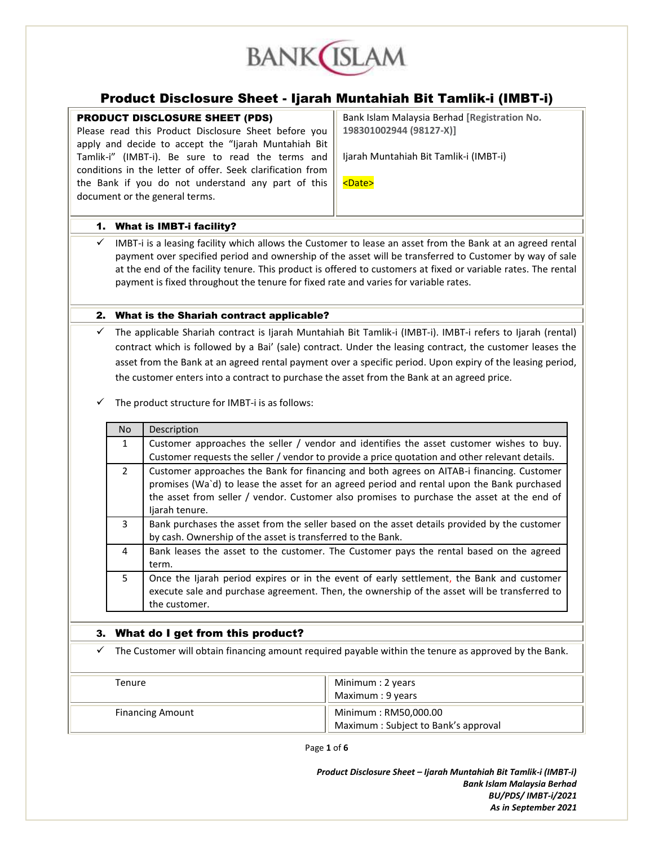

# Product Disclosure Sheet - Ijarah Muntahiah Bit Tamlik-i (IMBT-i)

# PRODUCT DISCLOSURE SHEET (PDS)

Please read this Product Disclosure Sheet before you apply and decide to accept the "Ijarah Muntahiah Bit Tamlik-i" (IMBT-i). Be sure to read the terms and conditions in the letter of offer. Seek clarification from the Bank if you do not understand any part of this document or the general terms.

Bank Islam Malaysia Berhad **[Registration No. 198301002944 (98127-X)]**

Ijarah Muntahiah Bit Tamlik-i (IMBT-i)

<Date>

# 1. What is IMBT-i facility?

 $\checkmark$  IMBT-i is a leasing facility which allows the Customer to lease an asset from the Bank at an agreed rental payment over specified period and ownership of the asset will be transferred to Customer by way of sale at the end of the facility tenure. This product is offered to customers at fixed or variable rates. The rental payment is fixed throughout the tenure for fixed rate and varies for variable rates.

# 2. What is the Shariah contract applicable?

- $\checkmark$  The applicable Shariah contract is Ijarah Muntahiah Bit Tamlik-i (IMBT-i). IMBT-i refers to Ijarah (rental) contract which is followed by a Bai' (sale) contract. Under the leasing contract, the customer leases the asset from the Bank at an agreed rental payment over a specific period. Upon expiry of the leasing period, the customer enters into a contract to purchase the asset from the Bank at an agreed price.
- The product structure for IMBT-i is as follows:

| No.            | Description                                                                                                                                                                                                                                                                                             |
|----------------|---------------------------------------------------------------------------------------------------------------------------------------------------------------------------------------------------------------------------------------------------------------------------------------------------------|
| $\mathbf{1}$   | Customer approaches the seller / vendor and identifies the asset customer wishes to buy.                                                                                                                                                                                                                |
|                | Customer requests the seller / vendor to provide a price quotation and other relevant details.                                                                                                                                                                                                          |
| $\overline{2}$ | Customer approaches the Bank for financing and both agrees on AITAB-i financing. Customer<br>promises (Wa'd) to lease the asset for an agreed period and rental upon the Bank purchased<br>the asset from seller / vendor. Customer also promises to purchase the asset at the end of<br>ljarah tenure. |
| $\overline{3}$ | Bank purchases the asset from the seller based on the asset details provided by the customer<br>by cash. Ownership of the asset is transferred to the Bank.                                                                                                                                             |
| 4              | Bank leases the asset to the customer. The Customer pays the rental based on the agreed<br>term.                                                                                                                                                                                                        |
| 5              | Once the Ijarah period expires or in the event of early settlement, the Bank and customer<br>execute sale and purchase agreement. Then, the ownership of the asset will be transferred to<br>the customer.                                                                                              |

# 3. What do I get from this product?

The Customer will obtain financing amount required payable within the tenure as approved by the Bank.

| Tenure                  | Minimum : 2 years<br>Maximum : 9 years                      |
|-------------------------|-------------------------------------------------------------|
| <b>Financing Amount</b> | Minimum: RM50,000.00<br>Maximum: Subject to Bank's approval |

Page **1** of **6**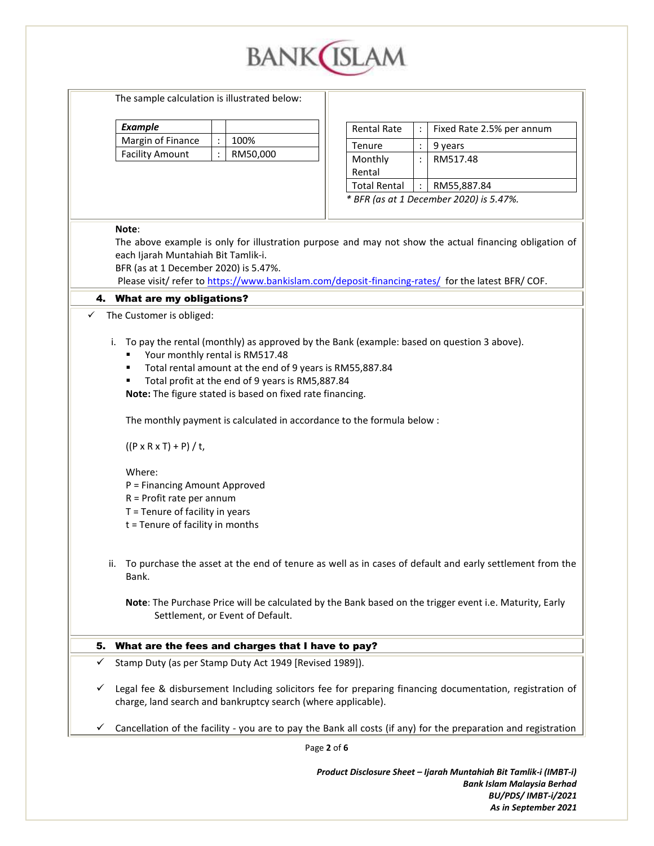

Page **2** of **6** The sample calculation is illustrated below: *Example* Margin of Finance | : | 100% Facility Amount | : | RM50,000 Rental Rate  $\vert \cdot \vert$  Fixed Rate 2.5% per annum Tenure  $| : | 9$  years Monthly Rental : RM517.48 Total Rental : RM55,887.84 *\* BFR (as at 1 December 2020) is 5.47%.* **Note**: The above example is only for illustration purpose and may not show the actual financing obligation of each Ijarah Muntahiah Bit Tamlik-i. BFR (as at 1 December 2020) is 5.47%. Please visit/ refer to<https://www.bankislam.com/deposit-financing-rates/> for the latest BFR/ COF. 4. What are my obligations? The Customer is obliged: i. To pay the rental (monthly) as approved by the Bank (example: based on question 3 above). Your monthly rental is RM517.48 Total rental amount at the end of 9 years is RM55,887.84 Total profit at the end of 9 years is RM5,887.84 **Note:** The figure stated is based on fixed rate financing. The monthly payment is calculated in accordance to the formula below :  $((P \times R \times T) + P) / t$ , Where: P = Financing Amount Approved R = Profit rate per annum T = Tenure of facility in years t = Tenure of facility in months ii. To purchase the asset at the end of tenure as well as in cases of default and early settlement from the Bank. **Note**: The Purchase Price will be calculated by the Bank based on the trigger event i.e. Maturity, Early Settlement, or Event of Default. 5. What are the fees and charges that I have to pay?  $\checkmark$  Stamp Duty (as per Stamp Duty Act 1949 [Revised 1989]).  $\checkmark$  Legal fee & disbursement Including solicitors fee for preparing financing documentation, registration of charge, land search and bankruptcy search (where applicable).  $\checkmark$  Cancellation of the facility - you are to pay the Bank all costs (if any) for the preparation and registration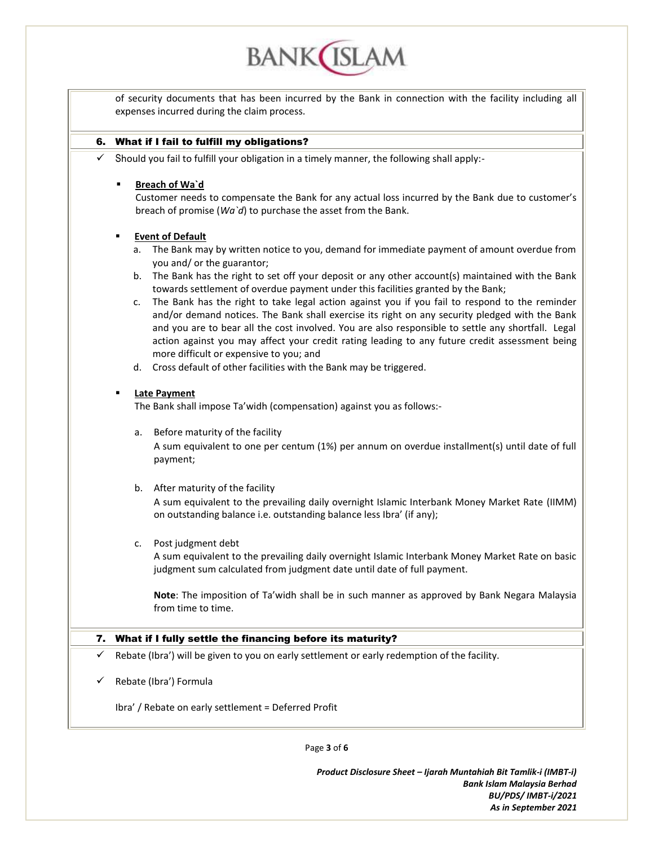of security documents that has been incurred by the Bank in connection with the facility including all expenses incurred during the claim process.

**BANK**(ISLAM

## 6. What if I fail to fulfill my obligations?

 $\checkmark$  Should you fail to fulfill your obligation in a timely manner, the following shall apply:-

#### **Breach of Wa`d**

Customer needs to compensate the Bank for any actual loss incurred by the Bank due to customer's breach of promise (*Wa`d*) to purchase the asset from the Bank.

#### **Event of Default**

- a. The Bank may by written notice to you, demand for immediate payment of amount overdue from you and/ or the guarantor;
- b. The Bank has the right to set off your deposit or any other account(s) maintained with the Bank towards settlement of overdue payment under this facilities granted by the Bank;
- c. The Bank has the right to take legal action against you if you fail to respond to the reminder and/or demand notices. The Bank shall exercise its right on any security pledged with the Bank and you are to bear all the cost involved. You are also responsible to settle any shortfall. Legal action against you may affect your credit rating leading to any future credit assessment being more difficult or expensive to you; and
- d. Cross default of other facilities with the Bank may be triggered.

#### **Late Payment**

The Bank shall impose Ta'widh (compensation) against you as follows:-

a. Before maturity of the facility

A sum equivalent to one per centum (1%) per annum on overdue installment(s) until date of full payment;

## b. After maturity of the facility

A sum equivalent to the prevailing daily overnight Islamic Interbank Money Market Rate (IIMM) on outstanding balance i.e. outstanding balance less Ibra' (if any);

c. Post judgment debt

A sum equivalent to the prevailing daily overnight Islamic Interbank Money Market Rate on basic judgment sum calculated from judgment date until date of full payment.

**Note**: The imposition of Ta'widh shall be in such manner as approved by Bank Negara Malaysia from time to time.

## 7. What if I fully settle the financing before its maturity?

Rebate (Ibra') will be given to you on early settlement or early redemption of the facility.

 $\checkmark$  Rebate (Ibra') Formula

Ibra' / Rebate on early settlement = Deferred Profit

Page **3** of **6**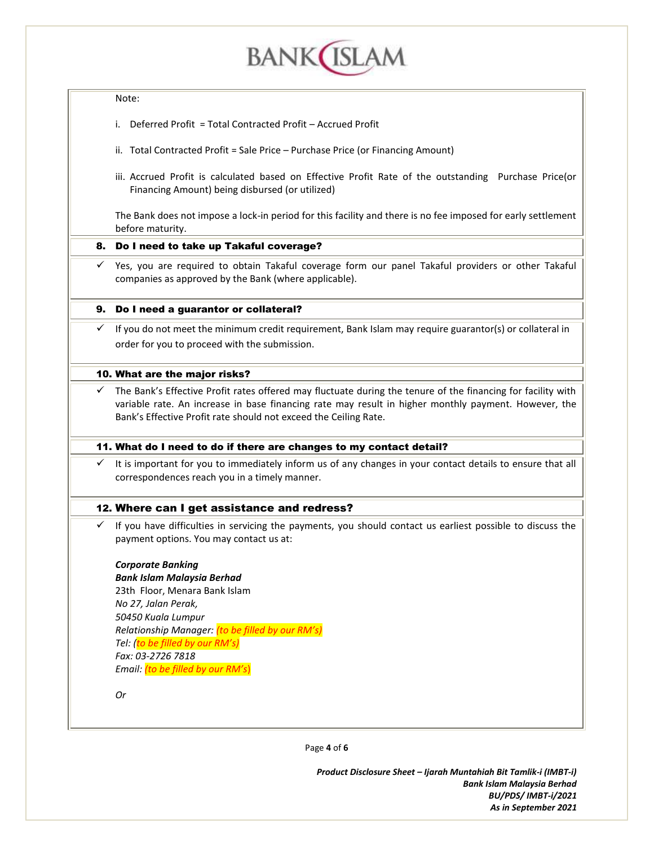

#### Note:

- i. Deferred Profit = Total Contracted Profit Accrued Profit
- ii. Total Contracted Profit = Sale Price Purchase Price (or Financing Amount)
- iii. Accrued Profit is calculated based on Effective Profit Rate of the outstanding Purchase Price(or Financing Amount) being disbursed (or utilized)

The Bank does not impose a lock-in period for this facility and there is no fee imposed for early settlement before maturity.

## 8. Do I need to take up Takaful coverage?

 $\checkmark$  Yes, you are required to obtain Takaful coverage form our panel Takaful providers or other Takaful companies as approved by the Bank (where applicable).

## 9. Do I need a guarantor or collateral?

 $\checkmark$  If you do not meet the minimum credit requirement, Bank Islam may require guarantor(s) or collateral in order for you to proceed with the submission.

## 10. What are the major risks?

 $\checkmark$  The Bank's Effective Profit rates offered may fluctuate during the tenure of the financing for facility with variable rate. An increase in base financing rate may result in higher monthly payment. However, the Bank's Effective Profit rate should not exceed the Ceiling Rate.

# 11. What do I need to do if there are changes to my contact detail?

 $\checkmark$  It is important for you to immediately inform us of any changes in your contact details to ensure that all correspondences reach you in a timely manner.

# 12. Where can I get assistance and redress?

 $\checkmark$  If you have difficulties in servicing the payments, you should contact us earliest possible to discuss the payment options. You may contact us at:

# *Corporate Banking*

*Bank Islam Malaysia Berhad* 23th Floor, Menara Bank Islam *No 27, Jalan Perak, 50450 Kuala Lumpur Relationship Manager: (to be filled by our RM's) Tel: (to be filled by our RM's) Fax: 03-2726 7818 Email: (to be filled by our RM's*)

*Or*

Page **4** of **6**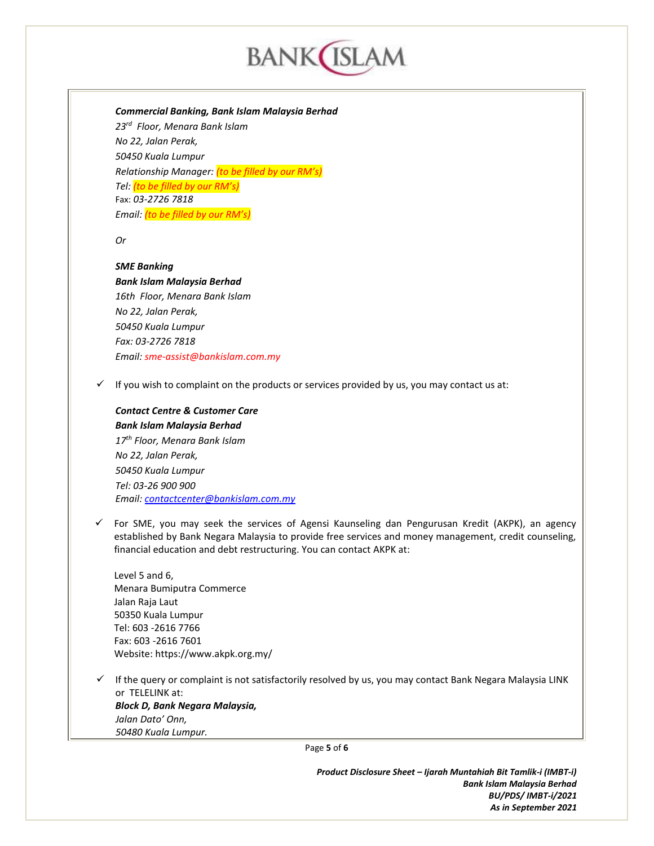

*Commercial Banking, Bank Islam Malaysia Berhad*

*23rd Floor, Menara Bank Islam No 22, Jalan Perak, 50450 Kuala Lumpur Relationship Manager: (to be filled by our RM's) Tel: (to be filled by our RM's)* Fax: *03-2726 7818 Email: (to be filled by our RM's)*

*Or*

#### *SME Banking*

*Bank Islam Malaysia Berhad 16th Floor, Menara Bank Islam No 22, Jalan Perak, 50450 Kuala Lumpur Fax: 03-2726 7818 Email: sme-assist@bankislam.com.my*

 $\checkmark$  If you wish to complaint on the products or services provided by us, you may contact us at:

# *Contact Centre & Customer Care Bank Islam Malaysia Berhad 17th Floor, Menara Bank Islam No 22, Jalan Perak,*

*50450 Kuala Lumpur Tel: 03-26 900 900 Email: [contactcenter@bankislam.com.my](mailto:contactcenter@bankislam.com.my)*

 $\checkmark$  For SME, you may seek the services of Agensi Kaunseling dan Pengurusan Kredit (AKPK), an agency established by Bank Negara Malaysia to provide free services and money management, credit counseling, financial education and debt restructuring. You can contact AKPK at:

Level 5 and 6, Menara Bumiputra Commerce Jalan Raja Laut 50350 Kuala Lumpur Tel: 603 -2616 7766 Fax: 603 -2616 7601 Website: https://www.akpk.org.my/

 $\checkmark$  If the query or complaint is not satisfactorily resolved by us, you may contact Bank Negara Malaysia LINK or TELELINK at: *Block D, Bank Negara Malaysia, Jalan Dato' Onn, 50480 Kuala Lumpur.*

Page **5** of **6**